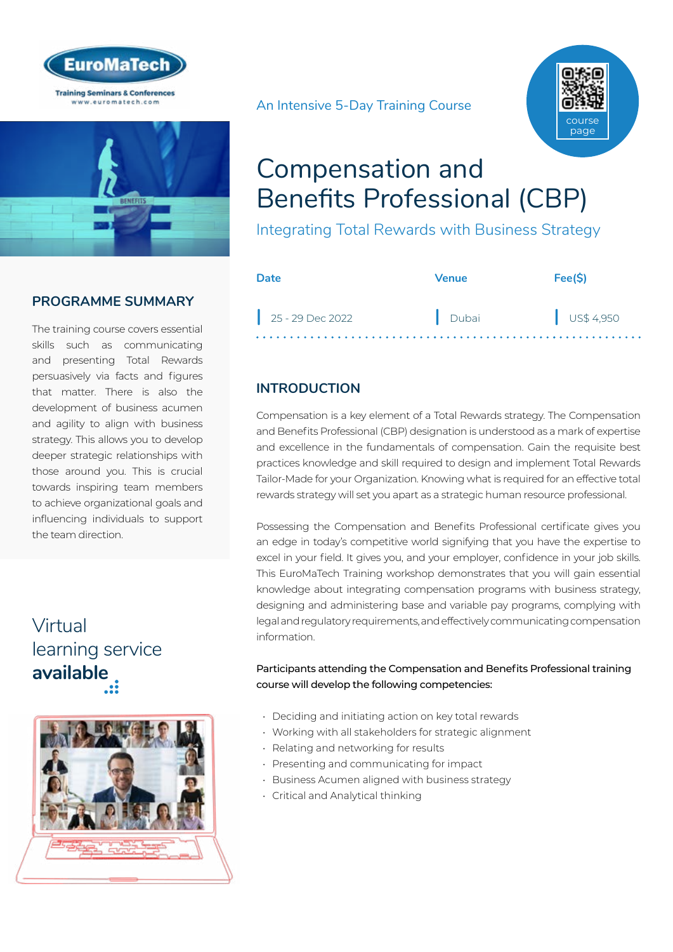



### **PROGRAMME SUMMARY**

The training course covers essential skills such as communicating and presenting Total Rewards persuasively via facts and figures that matter. There is also the development of business acumen and agility to align with business strategy. This allows you to develop deeper strategic relationships with those around you. This is crucial towards inspiring team members to achieve organizational goals and influencing individuals to support the team direction.

# Virtual [learning service](https://www.euromatech.com/seminars/compensation-and-benefits-professional-cbp-virtual/)  **available**



An Intensive 5-Day Training Course



# Compensation and Benefits Professional (CBP)

Integrating Total Rewards with Business Strategy

| Date               | Venue | Fee(S)    |
|--------------------|-------|-----------|
| $25 - 29$ Dec 2022 | Dubai | US\$4,950 |

### **INTRODUCTION**

Compensation is a key element of a Total Rewards strategy. The Compensation and Benefits Professional (CBP) designation is understood as a mark of expertise and excellence in the fundamentals of compensation. Gain the requisite best practices knowledge and skill required to design and implement Total Rewards Tailor-Made for your Organization. Knowing what is required for an effective total rewards strategy will set you apart as a strategic human resource professional.

Possessing the Compensation and Benefits Professional certificate gives you an edge in today's competitive world signifying that you have the expertise to excel in your field. It gives you, and your employer, confidence in your job skills. This EuroMaTech Training workshop demonstrates that you will gain essential knowledge about integrating compensation programs with business strategy, designing and administering base and variable pay programs, complying with legal and regulatory requirements, and effectively communicating compensation information.

#### Participants attending the Compensation and Benefits Professional training course will develop the following competencies:

- Deciding and initiating action on key total rewards
- Working with all stakeholders for strategic alignment
- Relating and networking for results
- Presenting and communicating for impact
- Business Acumen aligned with business strategy
- Critical and Analytical thinking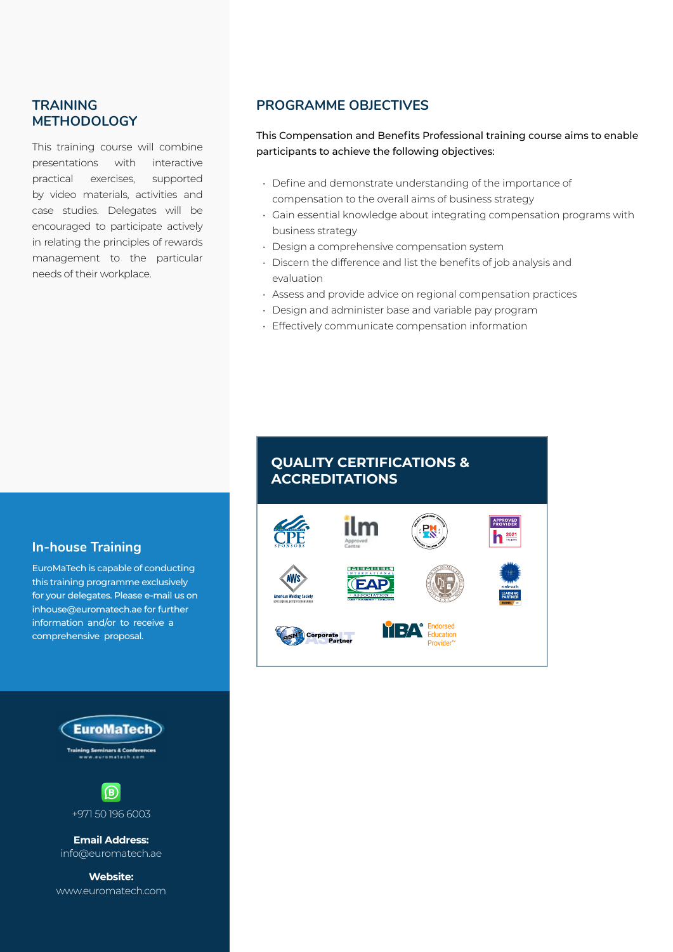### **TRAINING METHODOLOGY**

This training course will combine presentations with interactive practical exercises, supported by video materials, activities and case studies. Delegates will be encouraged to participate actively in relating the principles of rewards management to the particular needs of their workplace.

### **PROGRAMME OBJECTIVES**

This Compensation and Benefits Professional training course aims to enable participants to achieve the following objectives:

- Define and demonstrate understanding of the importance of compensation to the overall aims of business strategy
- Gain essential knowledge about integrating compensation programs with business strategy
- Design a comprehensive compensation system
- Discern the difference and list the benefits of job analysis and evaluation
- Assess and provide advice on regional compensation practices
- Design and administer base and variable pay program
- Effectively communicate compensation information

#### **In-house Training**

EuroMaTech is capable of conducting this training programme exclusively for your delegates. Please e-mail us on inhouse@euromatech.ae for further information and/or to receive a comprehensive proposal.





**Email Address:** info@euromatech.ae

**Website:** www.euromatech.com

# **QUALITY CERTIFICATIONS & ACCREDITATIONS APPROVED**<br>PROVIDER **1** 2021 **MEMBER**585

YEZA

ducation Provider<sup>1</sup>

Corporate<br>Partner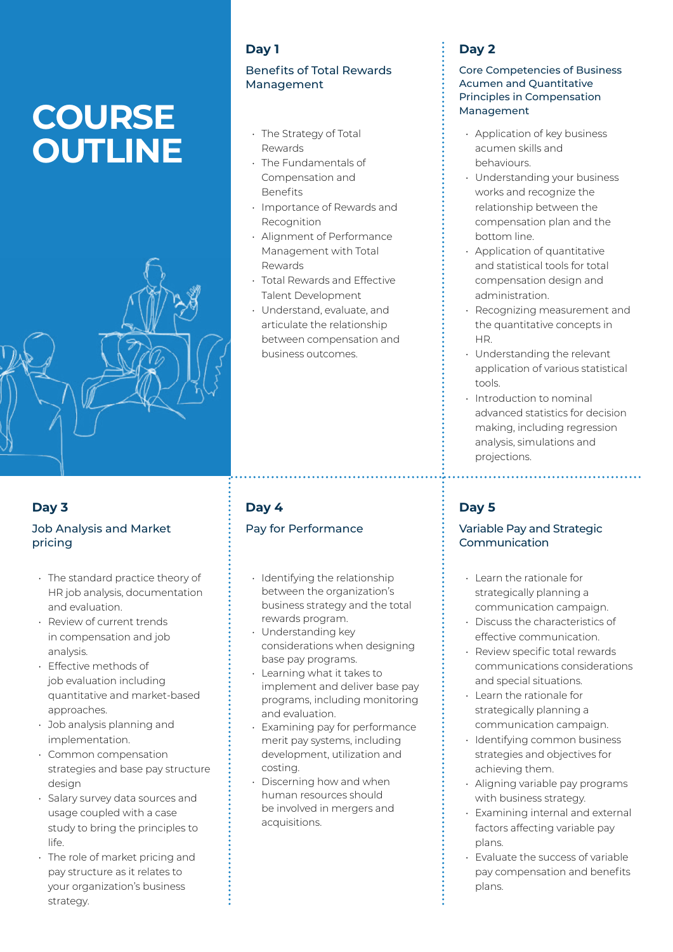# **COURSE OUTLINE**



### **Day 3**

#### Job Analysis and Market pricing

- The standard practice theory of HR job analysis, documentation and evaluation.
- Review of current trends in compensation and job analysis.
- Effective methods of job evaluation including quantitative and market-based approaches.
- Job analysis planning and implementation.
- Common compensation strategies and base pay structure design
- Salary survey data sources and usage coupled with a case study to bring the principles to life.
- The role of market pricing and pay structure as it relates to your organization's business strategy.

### **Day 1**

#### Benefits of Total Rewards Management

- The Strategy of Total Dewards
- The Fundamentals of Compensation and Benefits
- Importance of Rewards and **Recognition**
- Alignment of Performance Management with Total Rewards
- Total Rewards and Effective Talent Development
- Understand, evaluate, and articulate the relationship between compensation and business outcomes.

### **Day 4**

### Pay for Performance

- Identifying the relationship between the organization's business strategy and the total rewards program.
- Understanding key considerations when designing base pay programs.
- Learning what it takes to implement and deliver base pay programs, including monitoring and evaluation.
- Examining pay for performance merit pay systems, including development, utilization and costing.
- Discerning how and when human resources should be involved in mergers and acquisitions.

### **Day 2**

#### Core Competencies of Business Acumen and Quantitative Principles in Compensation Management

- Application of key business acumen skills and behaviours.
- Understanding your business works and recognize the relationship between the compensation plan and the bottom line.
- Application of quantitative and statistical tools for total compensation design and administration.
- Recognizing measurement and the quantitative concepts in HR.
- Understanding the relevant application of various statistical tools.
- Introduction to nominal advanced statistics for decision making, including regression analysis, simulations and projections.

### **Day 5**

#### Variable Pay and Strategic Communication

- Learn the rationale for strategically planning a communication campaign.
- Discuss the characteristics of effective communication.
- Review specific total rewards communications considerations and special situations.
- Learn the rationale for strategically planning a communication campaign.
- Identifying common business strategies and objectives for achieving them.
- Aligning variable pay programs with business strategy.
- Examining internal and external factors affecting variable pay plans.
- Evaluate the success of variable pay compensation and benefits plans.